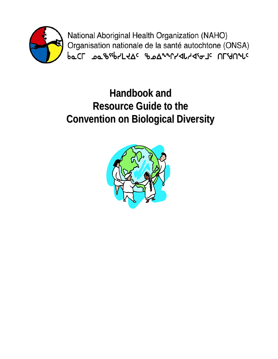

National Aboriginal Health Organization (NAHO) Organisation nationale de la santé autochtone (ONSA) **baCL** Journey & DoverLyde and Department

# **Handbook and Resource Guide to the Convention on Biological Diversity Convention on Biological Diversity**

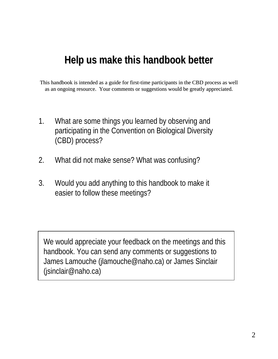# Help us make this handbook better

This handbook is intended as a guide for first-time participants in the CBD process as well as an ongoing resource. Your comments or suggestions would be greatly appreciated.

- 1. What are some things you learned by observing and participating in the Convention on Biological Diversity (CBD) process?
- 2. What did not make sense? What was confusing?
- 3. Would you add anything to this handbook to make it easier to follow these meetings?

We would appreciate your feedback on the meetings and this handbook. You can send any comments or suggestions to James Lamouche (jlamouche@naho.ca) or James Sinclair (jsinclair@naho.ca)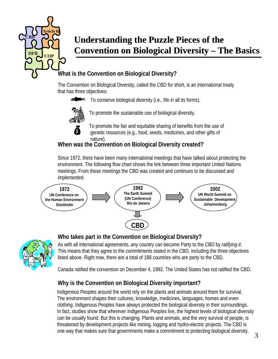

# **Understanding the Puzzle Pieces of the Understanding the Puzzle Pieces of the Convention on Biological Diversity – The Basics**

#### **What is the Convention on Biological Diversity?**

as three  $\alpha$ The Convention on Biological Diversity, called the CBD for short, is an international treaty that has three objectives:

To conserve biological diversity (i.e., life in all its forms).



**s** 

To promote the sustainable use of biological diversity.

To promote the fair and equitable sharing of benefits from the use of genetic resources (e.g., food, seeds, medicines, and other gifts of nature).

#### **When was the Convention on Biological Diversity created?**

Since 1972, there have been many international meetings that have talked about protecting the environment. The following flow chart shows the link between three important United Nations meetings. From these meetings the CBD was created and continues to be discussed and implemented.





#### **Who takes part in the Convention on Biological Diversity?**

As with all international agreements, any country can become Party to the CBD by *ratifying it*. This means that they agree to the commitments stated in the CBD, including the three objectives listed above. Right now, there are a total of 188 countries who are party to the CBD.

Canada ratified the convention on December 4, 1992. The United States has not ratified the CBD.

#### **Why is the Convention on Biological Diversity important?**

Indigenous Peoples around the world rely on the plants and animals around them for survival. The environment shapes their cultures, knowledge, medicines, languages, homes and even clothing. Indigenous Peoples have always protected the biological diversity in their surroundings. In fact, studies show that wherever Indigenous Peoples live, the highest levels of biological diversity can be usually found. But this is changing. Plants and animals, and the very survival of people, is threatened by development projects like mining, logging and hydro-electric projects. The CBD is one way that makes sure that governments make a commitment to protecting biological diversity. 3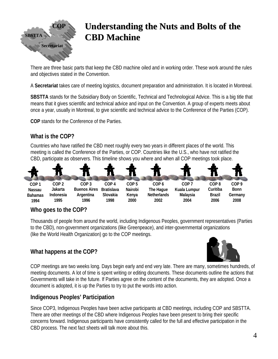

# **Understanding the Nuts and Bolts of the CBD Machine CBD Machine**

There are three basic parts that keep the CBD machine oiled and in working order. These work around the rules and objectives stated in the Convention.

A **Secretariat** takes care of meeting logistics, document preparation and administration. It is located in Montreal.

**SBSTTA** stands for the Subsidiary Body on Scientific, Technical and Technological Advice. This is a big title that means that it gives scientific and technical advice and input on the Convention. A group of experts meets about once a year, usually in Montreal, to give scientific and technical advice to the Conference of the Parties (COP).

**COP** stands for the Conference of the Parties.

#### **What is the COP?**

Countries who have ratified the CBD meet roughly every two years in different places of the world. This meeting is called the Conference of the Parties, or COP. Countries like the U.S., who have not ratified the CBD, participate as observers. This timeline shows you where and when all COP meetings took place.



#### **Who goes to the COP?**

Thousands of people from around the world, including Indigenous Peoples, government representatives (Parties to the CBD), non-government organizations (like Greenpeace), and inter-governmental organizations (like the World Health Organization) go to the COP meetings.

#### **What happens at the COP?**



COP meetings are two weeks long. Days begin early and end very late. There are many, sometimes hundreds, of meeting documents. A lot of time is spent writing or editing documents. These documents outline the actions that Governments will take in the future. If Parties agree on the content of the documents, they are adopted. Once a document is adopted, it is up the Parties to try to put the words into action.

#### **Indigenous Peoples' Participation**

Since COP3, Indigenous Peoples have been active participants at CBD meetings, including COP and SBSTTA. There are other meetings of the CBD where Indigenous Peoples have been present to bring their specific concerns forward. Indigenous participants have consistently called for the full and effective participation in the CBD process. The next fact sheets will talk more about this.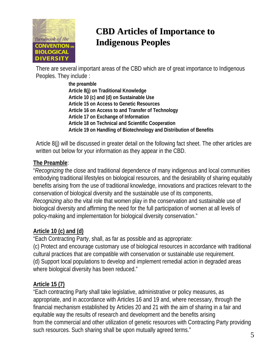

# **CBD Articles of Importance to Indigenous Peoples Indigenous Peoples**

There are several important areas of the CBD which are of great importance to Indigenous Peoples. They include :

> **the preamble Article 8(j) on Traditional Knowledge Article 10 (c) and (d) on Sustainable Use Article 15 on Access to Genetic Resources Article 16 on Access to and Transfer of Technology Article 17 on Exchange of Information Article 18 on Technical and Scientific Cooperation Article 19 on Handling of Biotechnology and Distribution of Benefits**

Article 8(j) will be discussed in greater detail on the following fact sheet. The other articles are written out below for your information as they appear in the CBD.

#### **The Preamble**:

"*Recognizing* the close and traditional dependence of many indigenous and local communities embodying traditional lifestyles on biological resources, and the desirability of sharing equitably benefits arising from the use of traditional knowledge, innovations and practices relevant to the conservation of biological diversity and the sustainable use of its components, *Recognizing also* the vital role that women play in the conservation and sustainable use of biological diversity and affirming the need for the full participation of women at all levels of policy-making and implementation for biological diversity conservation."

#### **Article 10 (c) and (d)**

"Each Contracting Party, shall, as far as possible and as appropriate:

(c) Protect and encourage customary use of biological resources in accordance with traditional cultural practices that are compatible with conservation or sustainable use requirement. (d) Support local populations to develop and implement remedial action in degraded areas where biological diversity has been reduced."

#### **Article 15 (7)**

"Each contracting Party shall take legislative, administrative or policy measures, as appropriate, and in accordance with Articles 16 and 19 and, where necessary, through the financial mechanism established by Articles 20 and 21 with the aim of sharing in a fair and equitable way the results of research and development and the benefits arising from the commercial and other utilization of genetic resources with Contracting Party providing such resources. Such sharing shall be upon mutually agreed terms."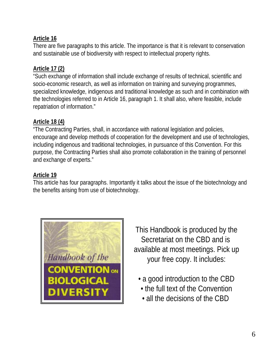#### **Article 16**

There are five paragraphs to this article. The importance is that it is relevant to conservation and sustainable use of biodiversity with respect to intellectual property rights.

#### **Article 17 (2)**

"Such exchange of information shall include exchange of results of technical, scientific and socio-economic research, as well as information on training and surveying programmes, specialized knowledge, indigenous and traditional knowledge as such and in combination with the technologies referred to in Article 16, paragraph 1. It shall also, where feasible, include repatriation of information."

#### **Article 18 (4)**

"The Contracting Parties, shall, in accordance with national legislation and policies, encourage and develop methods of cooperation for the development and use of technologies, including indigenous and traditional technologies, in pursuance of this Convention. For this purpose, the Contracting Parties shall also promote collaboration in the training of personnel and exchange of experts."

#### **Article 19**

This article has four paragraphs. Importantly it talks about the issue of the biotechnology and the benefits arising from use of biotechnology.



This Handbook is produced by the Secretariat on the CBD and is available at most meetings. Pick up your free copy. It includes:

- a good introduction to the CBD
	- the full text of the Convention
	- all the decisions of the CBD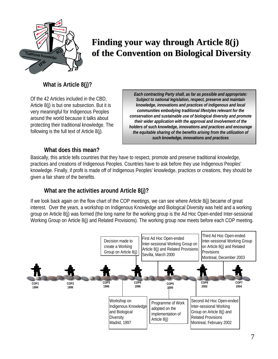

# Finding your way through Article 8(j) **of the Convention on Biological Diversity of the Convention on Biological Diversity**

#### **What is Article 8(j)?**

Of the 42 Articles included in the CBD, Article 8(j) is but one subsection. But it is very meaningful for Indigenous Peoples around the world because it talks about protecting their traditional knowledge. The following is the full text of Article 8(j).

*Each contracting Party shall, as far as possible and appropriate: Subject to national legislation, respect, preserve and maintain knowledge, innovations and practices of indigenous and local communities embodying traditional lifestyles relevant for the conservation and sustainable use of biological diversity and promote their wider application with the approval and involvement of the holders of such knowledge, innovations and practices and encourage the equitable sharing of the benefits arising from the utilization of such knowledge, innovations and practices*

#### **What does this mean?**

Basically, this article tells countries that they have to respect, promote and preserve traditional knowledge, practices and creations of Indigenous Peoples. Countries have to ask before they use Indigenous Peoples' knowledge. Finally, if profit is made off of Indigenous Peoples' knowledge, practices or creations, they should be given a fair share of the benefits.

#### **What are the activities around Article 8(j)?**

If we look back again on the flow chart of the COP meetings, we can see where Article 8(j) became of great interest. Over the years, a workshop on Indigenous Knowledge and Biological Diversity was held and a working group on Article 8(j) was formed (the long name for the working group is the Ad Hoc Open-ended Inter-sessional Working Group on Article 8(j) and Related Provisions). The working group now meets before each COP meeting.

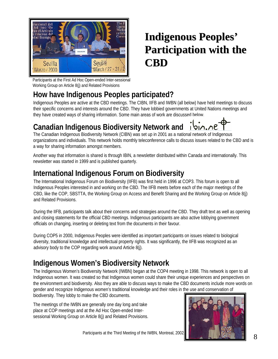

# **Indigenous Peoples' Indigenous Peoples' Participation with the Participation with the CBD**

Participants at the First Ad Hoc Open-ended Inter-sessional Working Group on Article 8(j) and Related Provisions

## **How have Indigenous Peoples participated?**

Indigenous Peoples are active at the CBD meetings. The CIBN, IIFB and IWBN (all below) have held meetings to discuss their specific concerns and interests around the CBD. They have lobbied governments at United Nations meetings and they have created ways of sharing information. Some main areas of work are discussed below.

#### **Canadian Indigenous Biodiversity Network and**  שת. תוסו

The Canadian Indigenous Biodiversity Network (CIBN) was set up in 2001 as a national network of Indigenous organizations and individuals. This network holds monthly teleconference calls to discuss issues related to the CBD and is a way for sharing information amongst members.

Another way that information is shared is through IBIN, a newsletter distributed within Canada and internationally. This newsletter was started in 1999 and is published quarterly.

## **International Indigenous Forum on Biodiversity**

The International Indigenous Forum on Biodiversity (IIFB) was first held in 1996 at COP3. This forum is open to all Indigenous Peoples interested in and working on the CBD. The IIFB meets before each of the major meetings of the CBD, like the COP, SBSTTA, the Working Group on Access and Benefit Sharing and the Working Group on Article 8(j) and Related Provisions.

During the IIFB, participants talk about their concerns and strategies around the CBD. They draft text as well as opening and closing statements for the official CBD meetings. Indigenous participants are also active lobbying government officials on changing, inserting or deleting text from the documents in their favour.

During COP5 in 2000, Indigenous Peoples were identified as important participants on issues related to biological diversity, traditional knowledge and intellectual property rights. It was significantly, the IIFB was recognized as an advisory body to the COP regarding work around Article 8(j).

### **Indigenous Women's Biodiversity Network**

The Indigenous Women's Biodiversity Network (IWBN) began at the COP4 meeting in 1998. This network is open to all Indigenous women. It was created so that Indigenous women could share their unique experiences and perspectives on the environment and biodiversity. Also they are able to discuss ways to make the CBD documents include more words on gender and recognize Indigenous women's traditional knowledge and their roles in the use and conservation of biodiversity. They lobby to make the CBD documents.

The meetings of the IWBN are generally one day long and take place at COP meetings and at the Ad Hoc Open-ended Intersessional Working Group on Article 8(j) and Related Provisions.



Participants at the Third Meeting of the IWBN, Montreal, 2002.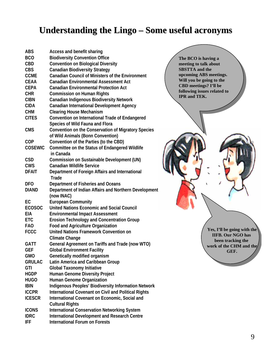## **Understanding the Lingo – Some useful acronyms**

| <b>ABS</b>     | Access and benefit sharing                                               |
|----------------|--------------------------------------------------------------------------|
| <b>BCO</b>     | <b>Biodiversity Convention Office</b>                                    |
| <b>CBD</b>     | <b>Convention on Biological Diversity</b>                                |
| <b>CBS</b>     | <b>Canadian Biodiversity Strategy</b>                                    |
| <b>CCME</b>    | <b>Canadian Council of Ministers of the Environment</b>                  |
| <b>CEAA</b>    | <b>Canadian Environmental Assessment Act</b>                             |
| <b>CEPA</b>    | <b>Canadian Environmental Protection Act</b>                             |
| <b>CHR</b>     | <b>Commission on Human Rights</b>                                        |
| <b>CIBN</b>    | <b>Canadian Indigenous Biodiversity Network</b>                          |
| <b>CIDA</b>    | <b>Canadian International Development Agency</b>                         |
| <b>CHM</b>     | <b>Clearing House Mechanism</b>                                          |
| <b>CITES</b>   | <b>Convention on International Trade of Endangered</b>                   |
|                | Species of Wild Fauna and Flora                                          |
| <b>CMS</b>     | Convention on the Conservation of Migratory Species                      |
|                | of Wild Animals (Bonn Convention)                                        |
| <b>COP</b>     | Convention of the Parties (to the CBD)                                   |
| <b>COSEWIC</b> |                                                                          |
|                | Committee on the Status of Endangered Wildlife<br>in Canada              |
| <b>CSD</b>     | Commission on Sustainable Development (UN)                               |
| <b>CWS</b>     | <b>Canadian Wildlife Service</b>                                         |
| <b>DFAIT</b>   | Department of Foreign Affairs and International<br><b>Trade</b>          |
| <b>DFO</b>     | Department of Fisheries and Oceans                                       |
| <b>DIAND</b>   | Department of Indian Affairs and Northern Development<br>(now INAC)      |
| EC             | <b>European Community</b>                                                |
| <b>ECOSOC</b>  | <b>United Nations Economic and Social Council</b>                        |
| EIA            | <b>Environmental Impact Assessment</b>                                   |
| <b>ETC</b>     | <b>Erosion Technology and Concentration Group</b>                        |
| <b>FAO</b>     | <b>Food and Agriculture Organization</b>                                 |
| <b>FCCC</b>    | <b>United Nations Framework Convention on</b>                            |
|                | <b>Climate Change</b>                                                    |
| <b>GATT</b>    | General Agreement on Tariffs and Trade (now WTO)                         |
| GEF            | <b>Global Environment Facility</b>                                       |
| <b>GMO</b>     | Genetically modified organism                                            |
| <b>GRULAC</b>  | Latin America and Caribbean Group                                        |
| GTI            | <b>Global Taxonomy Initiative</b>                                        |
| <b>HGDP</b>    | Human Genome Diversity Project                                           |
| <b>HUGO</b>    | Human Genome Organization                                                |
| <b>IBIN</b>    | Indigenous Peoples' Biodiversity Information Network                     |
| <b>ICCPR</b>   | <b>International Covenant on Civil and Political Rights</b>              |
| <b>ICESCR</b>  |                                                                          |
|                | International Covenant on Economic, Social and<br><b>Cultural Rights</b> |
|                |                                                                          |
| <b>ICONS</b>   | <b>International Conservation Networking System</b>                      |
| <b>IDRC</b>    | <b>International Development and Research Centre</b>                     |
| <b>IFF</b>     | <b>International Forum on Forests</b>                                    |

**The BCO is having a meeting to talk about meeting to talk about SBSTTA and the SBSTTA and the upcoming ABS meetings. upcoming ABS meetings. Will you be going to the Will you be going to the CBD meetings? I'll be CBD meetings? I'll be following issues related to following issues related to IPR and TEK. IPR and TEK. The BCO is having a** 

> **Yes, I'll be going with the IIFB. Our NGO has been tracking the work of the CHM and the GEF.**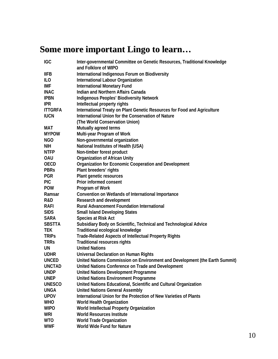# **Some more important Lingo to learn…**

| <b>IGC</b>     | Inter-governmental Committee on Genetic Resources, Traditional Knowledge<br>and Folklore of WIPO         |
|----------------|----------------------------------------------------------------------------------------------------------|
| <b>IIFB</b>    | International Indigenous Forum on Biodiversity                                                           |
| ILO            | International Labour Organization                                                                        |
| IMF            | <b>International Monetary Fund</b>                                                                       |
| <b>INAC</b>    | Indian and Northern Affairs Canada                                                                       |
| <b>IPBN</b>    |                                                                                                          |
| <b>IPR</b>     | <b>Indigenous Peoples' Biodiversity Network</b>                                                          |
| <b>ITTGRFA</b> | Intellectual property rights<br>International Treaty on Plant Genetic Resources for Food and Agriculture |
| <b>IUCN</b>    | International Union for the Conservation of Nature                                                       |
|                |                                                                                                          |
|                | (The World Conservation Union)                                                                           |
| MAT            | Mutually agreed terms                                                                                    |
| <b>MYPOW</b>   | Multi-year Program of Work                                                                               |
| <b>NGO</b>     | Non-governmental organization                                                                            |
| NIH            | National Institutes of Health (USA)                                                                      |
| <b>NTFP</b>    | Non-timber forest product                                                                                |
| <b>OAU</b>     | <b>Organization of African Unity</b>                                                                     |
| <b>OECD</b>    | Organization for Economic Cooperation and Development                                                    |
| <b>PBRs</b>    | Plant breeders' rights                                                                                   |
| <b>PGR</b>     | Plant genetic resources                                                                                  |
| <b>PIC</b>     | Prior informed consent                                                                                   |
| <b>POW</b>     | Program of Work                                                                                          |
| Ramsar         | Convention on Wetlands of International Importance                                                       |
| R&D            | Research and development                                                                                 |
| <b>RAFI</b>    | <b>Rural Advancement Foundation International</b>                                                        |
| <b>SIDS</b>    | <b>Small Island Developing States</b>                                                                    |
| <b>SARA</b>    | Species at Risk Act                                                                                      |
| <b>SBSTTA</b>  | Subsidiary Body on Scientific, Technical and Technological Advice                                        |
| <b>TEK</b>     | Traditional ecological knowledge                                                                         |
| <b>TRIPS</b>   | <b>Trade-Related Aspects of Intellectual Property Rights</b>                                             |
| <b>TRRS</b>    | <b>Traditional resources rights</b>                                                                      |
| UN             | <b>United Nations</b>                                                                                    |
| <b>UDHR</b>    | <b>Universal Declaration on Human Rights</b>                                                             |
| <b>UNCED</b>   | United Nations Commission on Environment and Development (the Earth Summit)                              |
| <b>UNCTAD</b>  | United Nations Conference on Trade and Development                                                       |
| <b>UNDP</b>    | <b>United Nations Development Programme</b>                                                              |
| <b>UNEP</b>    | <b>United Nations Environment Programme</b>                                                              |
| <b>UNESCO</b>  | United Nations Educational, Scientific and Cultural Organization                                         |
| <b>UNGA</b>    | <b>United Nations General Assembly</b>                                                                   |
| <b>UPOV</b>    | International Union for the Protection of New Varieties of Plants                                        |
| <b>WHO</b>     | <b>World Health Organization</b>                                                                         |
| <b>WIPO</b>    | World Intellectual Property Organization                                                                 |
| WRI            | <b>World Resources Institute</b>                                                                         |
| <b>WTO</b>     | <b>World Trade Organization</b>                                                                          |
| <b>WWF</b>     | World Wide Fund for Nature                                                                               |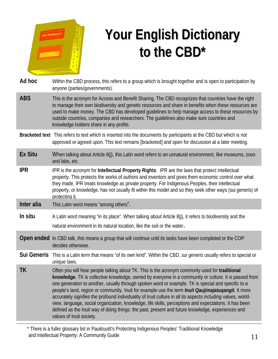

# **Your English Dictionary Your English Dictionary to the CBD\* to the CBD\***

| Ad hoc             | Within the CBD process, this refers to a group which is brought together and is open to participation by<br>anyone (parties/governments).                                                                                                                                                                                                                                                                                                                                                                                                                                                                                                                                                                                                                                               |
|--------------------|-----------------------------------------------------------------------------------------------------------------------------------------------------------------------------------------------------------------------------------------------------------------------------------------------------------------------------------------------------------------------------------------------------------------------------------------------------------------------------------------------------------------------------------------------------------------------------------------------------------------------------------------------------------------------------------------------------------------------------------------------------------------------------------------|
| <b>ABS</b>         | This is the acronym for Access and Benefit Sharing. The CBD recognizes that countries have the right<br>to manage their own biodiversity and genetic resources and share in benefits when these resources are<br>used to make money. The CBD has developed guidelines to help manage access to these resources by<br>outside countries, companies and researchers. The guidelines also make sure countries and<br>knowledge holders share in any profits.                                                                                                                                                                                                                                                                                                                               |
|                    | Bracketed text This refers to text which is inserted into the documents by participants at the CBD but which is not<br>approved or agreed upon. This text remains [bracketed] and open for discussion at a later meeting.                                                                                                                                                                                                                                                                                                                                                                                                                                                                                                                                                               |
| <b>Ex Situ</b>     | When talking about Article 8(j), this Latin word refers to an unnatural environment, like museums, zoos<br>and labs, etc.                                                                                                                                                                                                                                                                                                                                                                                                                                                                                                                                                                                                                                                               |
| <b>IPR</b>         | IPR is the acronym for Intellectual Property Rights. IPR are the laws that protect intellectual<br>property. This protects the works of authors and inventors and gives them economic control over what<br>they made. IPR treats knowledge as private property. For Indigenous Peoples, their intellectual<br>property, or knowledge, has not usually fit within this model and so they seek other ways (sui generis) of<br>protecting it.                                                                                                                                                                                                                                                                                                                                              |
| Inter alia         | This Latin word means "among others".                                                                                                                                                                                                                                                                                                                                                                                                                                                                                                                                                                                                                                                                                                                                                   |
| In situ            | A Latin word meaning "in its place". When talking about Article 8(j), it refers to biodiversity and the<br>natural environment in its natural location, like the soil or the water.                                                                                                                                                                                                                                                                                                                                                                                                                                                                                                                                                                                                     |
|                    | <b>Open ended</b> In CBD talk, this means a group that will continue until its tasks have been completed or the COP<br>decides otherwise.                                                                                                                                                                                                                                                                                                                                                                                                                                                                                                                                                                                                                                               |
| <b>Sui Generis</b> | This is a Latin term that means "of its own kind". Within the CBD, sui generis usually refers to special or<br>unique laws.                                                                                                                                                                                                                                                                                                                                                                                                                                                                                                                                                                                                                                                             |
| <b>TK</b>          | Often you will hear people talking about TK. This is the acronym commonly used for traditional<br>knowledge. TK is collective knowledge, owned by everyone in a community or culture. It is passed from<br>one generation to another, usually through spoken word or example. TK is special and specific to a<br>people's land, region or community. Inuit for example use the term <i>Inuit Qaujimajatuqangit</i> . It more<br>accurately signifies the profound individuality of Inuit culture in all its aspects including values, world-<br>view, language, social organization, knowledge, life skills, perceptions and expectations. It has been<br>defined as the Inuit way of doing things: the past, present and future knowledge, experiences and<br>values of Inuit society. |
|                    |                                                                                                                                                                                                                                                                                                                                                                                                                                                                                                                                                                                                                                                                                                                                                                                         |

\* There is a fuller glossary list in Pauktuutit's Protecting Indigenous Peoples' Traditional Knowledge and Intellectual Property: A Community Guide